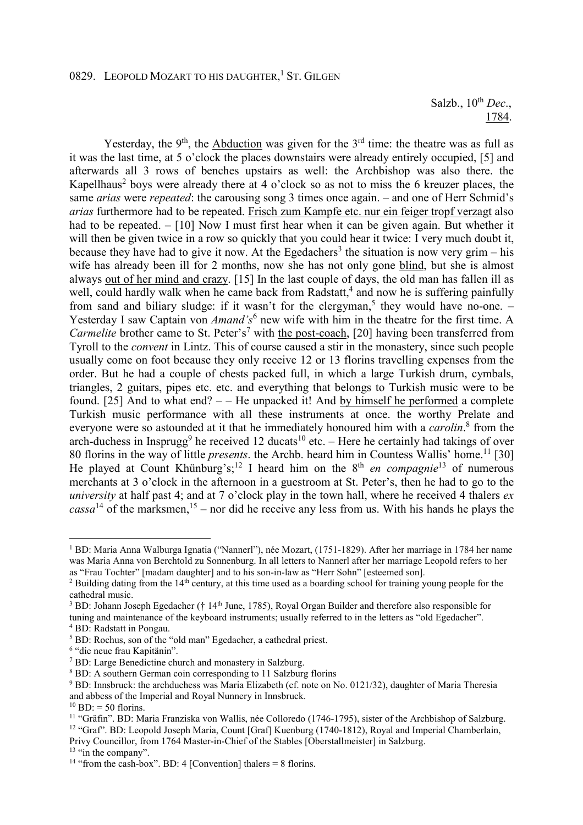Salzb., 10th *Dec*., 1784.

Yesterday, the  $9<sup>th</sup>$ , the Abduction was given for the  $3<sup>rd</sup>$  time: the theatre was as full as it was the last time, at 5 o'clock the places downstairs were already entirely occupied, [5] and afterwards all 3 rows of benches upstairs as well: the Archbishop was also there. the Kapellhaus<sup>2</sup> boys were already there at 4 o'clock so as not to miss the 6 kreuzer places, the same *arias* were *repeated*: the carousing song 3 times once again. – and one of Herr Schmid's *arias* furthermore had to be repeated. Frisch zum Kampfe etc. nur ein feiger tropf verzagt also had to be repeated. – [10] Now I must first hear when it can be given again. But whether it will then be given twice in a row so quickly that you could hear it twice: I very much doubt it, because they have had to give it now. At the Egedachers<sup>3</sup> the situation is now very grim – his wife has already been ill for 2 months, now she has not only gone blind, but she is almost always out of her mind and crazy. [15] In the last couple of days, the old man has fallen ill as well, could hardly walk when he came back from Radstatt,<sup>4</sup> and now he is suffering painfully from sand and biliary sludge: if it wasn't for the clergyman,<sup>5</sup> they would have no-one.  $-$ Yesterday I saw Captain von *Amand's*<sup>6</sup> new wife with him in the theatre for the first time. A *Carmelite* brother came to St. Peter's<sup>7</sup> with the post-coach, [20] having been transferred from Tyroll to the *convent* in Lintz. This of course caused a stir in the monastery, since such people usually come on foot because they only receive 12 or 13 florins travelling expenses from the order. But he had a couple of chests packed full, in which a large Turkish drum, cymbals, triangles, 2 guitars, pipes etc. etc. and everything that belongs to Turkish music were to be found. [25] And to what end? – – He unpacked it! And by himself he performed a complete Turkish music performance with all these instruments at once. the worthy Prelate and everyone were so astounded at it that he immediately honoured him with a *carolin*. 8 from the arch-duchess in Insprugg<sup>9</sup> he received 12 ducats<sup>10</sup> etc. – Here he certainly had takings of over 80 florins in the way of little *presents*. the Archb. heard him in Countess Wallis' home.<sup>11</sup> [30] He played at Count Khünburg's;<sup>12</sup> I heard him on the 8<sup>th</sup> *en compagnie*<sup>13</sup> of numerous merchants at 3 o'clock in the afternoon in a guestroom at St. Peter's, then he had to go to the *university* at half past 4; and at 7 o'clock play in the town hall, where he received 4 thalers *ex*   $cassa^{14}$  of the marksmen,  $15$  – nor did he receive any less from us. With his hands he plays the

l

<sup>1</sup> BD: Maria Anna Walburga Ignatia ("Nannerl"), née Mozart, (1751-1829). After her marriage in 1784 her name was Maria Anna von Berchtold zu Sonnenburg. In all letters to Nannerl after her marriage Leopold refers to her as "Frau Tochter" [madam daughter] and to his son-in-law as "Herr Sohn" [esteemed son].

<sup>&</sup>lt;sup>2</sup> Building dating from the  $14<sup>th</sup>$  century, at this time used as a boarding school for training young people for the cathedral music.

 $3$  BD: Johann Joseph Egedacher († 14<sup>th</sup> June, 1785), Royal Organ Builder and therefore also responsible for

tuning and maintenance of the keyboard instruments; usually referred to in the letters as "old Egedacher". 4 BD: Radstatt in Pongau.

<sup>&</sup>lt;sup>5</sup> BD: Rochus, son of the "old man" Egedacher, a cathedral priest.

<sup>&</sup>lt;sup>6</sup> "die neue frau Kapitänin".

<sup>7</sup> BD: Large Benedictine church and monastery in Salzburg.

<sup>8</sup> BD: A southern German coin corresponding to 11 Salzburg florins

<sup>&</sup>lt;sup>9</sup> BD: Innsbruck: the archduchess was Maria Elizabeth (cf. note on No. 0121/32), daughter of Maria Theresia and abbess of the Imperial and Royal Nunnery in Innsbruck.

 $^{10}$  BD: = 50 florins.

<sup>&</sup>lt;sup>11</sup> "Gräfin". BD: Maria Franziska von Wallis, née Colloredo (1746-1795), sister of the Archbishop of Salzburg. <sup>12</sup> "Graf". BD: Leopold Joseph Maria, Count [Graf] Kuenburg (1740-1812), Royal and Imperial Chamberlain, Privy Councillor, from 1764 Master-in-Chief of the Stables [Oberstallmeister] in Salzburg.

 $13$  "in the company".

<sup>&</sup>lt;sup>14</sup> "from the cash-box". BD: 4 [Convention] thalers = 8 florins.